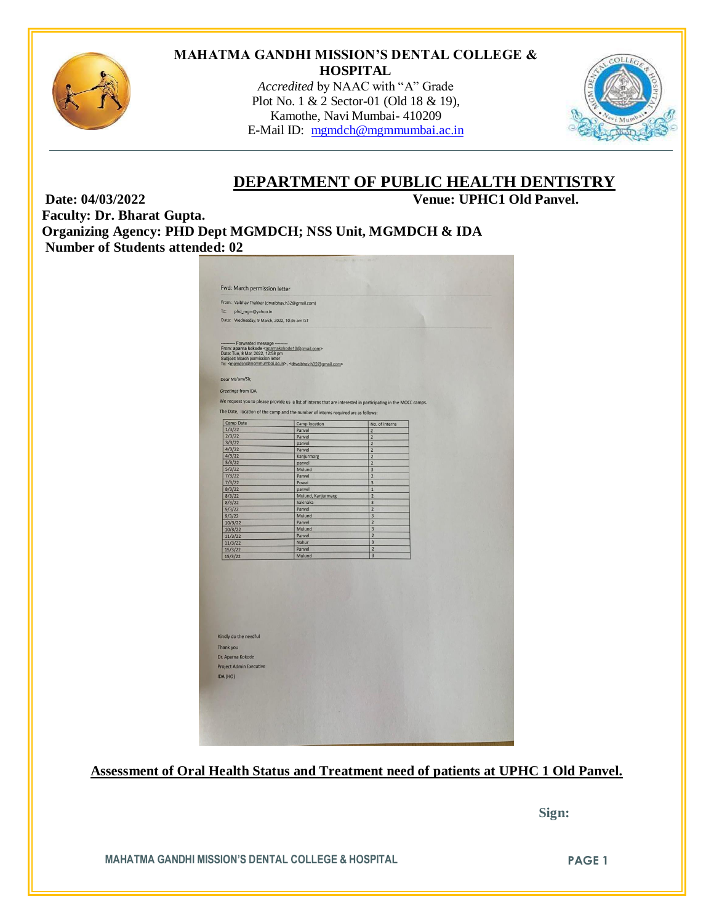

# **MAHATMA GANDHI MISSION'S DENTAL COLLEGE & HOSPITAL**

*Accredited* by NAAC with "A" Grade Plot No. 1 & 2 Sector-01 (Old 18 & 19), Kamothe, Navi Mumbai- 410209 E-Mail ID: [mgmdch@mgmmumbai.ac.in](mailto:mgmdch@mgmmumbai.ac.in)



# **DEPARTMENT OF PUBLIC HEALTH DENTISTRY**

**Date: 04/03/2022 Venue: UPHC1 Old Panvel. Faculty: Dr. Bharat Gupta. Organizing Agency: PHD Dept MGMDCH; NSS Unit, MGMDCH & IDA**

**Number of Students attended: 02**

| Fwd: March permission letter                                                                                                                            |                                                                                                                                                |                                                    |  |
|---------------------------------------------------------------------------------------------------------------------------------------------------------|------------------------------------------------------------------------------------------------------------------------------------------------|----------------------------------------------------|--|
| From: Vaibhav Thakkar (drvaibhav.h32@gmail.com)                                                                                                         |                                                                                                                                                |                                                    |  |
| To:<br>phd_mgm@yahoo.in                                                                                                                                 |                                                                                                                                                |                                                    |  |
| Date: Wednesday, 9 March, 2022, 10:36 am IST                                                                                                            |                                                                                                                                                |                                                    |  |
|                                                                                                                                                         |                                                                                                                                                |                                                    |  |
| Forwarded message<br>From: aparna kokode <aparnakokode10@gmail.com><br/>Date: Tue, 8 Mar, 2022, 12:58 pm<br/>Dear Ma'am/Sir,</aparnakokode10@gmail.com> | Subject: March permission letter<br>To: <mgmdch@mgmmumbai.ac.in>, <dryaibhay.h32@gmail.com></dryaibhay.h32@gmail.com></mgmdch@mgmmumbai.ac.in> |                                                    |  |
| Greetings from IDA                                                                                                                                      |                                                                                                                                                |                                                    |  |
|                                                                                                                                                         | We request you to please provide us a list of interns that are interested in participating in the MOCC camps.                                  |                                                    |  |
|                                                                                                                                                         | The Date, location of the camp and the number of interns required are as follows:                                                              |                                                    |  |
|                                                                                                                                                         |                                                                                                                                                |                                                    |  |
| Camp Date                                                                                                                                               | Camp location                                                                                                                                  | No. of interns                                     |  |
| 1/3/22<br>2/3/22                                                                                                                                        | Panvel                                                                                                                                         | $\overline{\mathbf{c}}$                            |  |
| 3/3/22                                                                                                                                                  | Panvel<br>panvel                                                                                                                               | $\overline{\mathbf{c}}$<br>$\overline{\mathbf{c}}$ |  |
| 4/3/22                                                                                                                                                  | Panvel                                                                                                                                         | $\overline{\mathbf{c}}$                            |  |
| 4/3/22                                                                                                                                                  | Kanjurmarg                                                                                                                                     | $\overline{\mathbf{z}}$                            |  |
| 5/3/22                                                                                                                                                  | panvel                                                                                                                                         | $\overline{2}$                                     |  |
| 5/3/22                                                                                                                                                  | Mulund                                                                                                                                         | 3                                                  |  |
| 7/3/22                                                                                                                                                  | Panvel                                                                                                                                         | $\overline{2}$                                     |  |
| 7/3/22<br>8/3/22                                                                                                                                        | Powai<br>panvel                                                                                                                                | 3<br>$1\,$                                         |  |
| 8/3/22                                                                                                                                                  | Mulund, Kanjurmarg                                                                                                                             | $\overline{2}$                                     |  |
| 8/3/22                                                                                                                                                  | Sakinaka                                                                                                                                       | 3                                                  |  |
| 9/3/22                                                                                                                                                  | Panvel                                                                                                                                         | $\overline{2}$                                     |  |
| 9/3/22                                                                                                                                                  | Mulund                                                                                                                                         | $\overline{3}$                                     |  |
| 10/3/22                                                                                                                                                 | Panvel<br>Mulund                                                                                                                               | $\overline{2}$<br>$\overline{3}$                   |  |
| 10/3/22<br>11/3/22                                                                                                                                      | Panvel                                                                                                                                         | $\overline{2}$                                     |  |
| 11/3/22                                                                                                                                                 | Nahur                                                                                                                                          | $\overline{3}$                                     |  |
| 15/3/22                                                                                                                                                 | Panvel                                                                                                                                         | $\overline{2}$                                     |  |
| 15/3/22                                                                                                                                                 | Mulund                                                                                                                                         | $\overline{3}$                                     |  |
| Kindly do the needful                                                                                                                                   |                                                                                                                                                |                                                    |  |
| Thank you                                                                                                                                               |                                                                                                                                                |                                                    |  |
| Dr. Aparna Kokode                                                                                                                                       |                                                                                                                                                |                                                    |  |
|                                                                                                                                                         |                                                                                                                                                |                                                    |  |
| <b>Project Admin Executive</b>                                                                                                                          |                                                                                                                                                |                                                    |  |
|                                                                                                                                                         |                                                                                                                                                |                                                    |  |
| IDA (HO)                                                                                                                                                |                                                                                                                                                |                                                    |  |
|                                                                                                                                                         |                                                                                                                                                |                                                    |  |
|                                                                                                                                                         |                                                                                                                                                |                                                    |  |
|                                                                                                                                                         |                                                                                                                                                |                                                    |  |
|                                                                                                                                                         |                                                                                                                                                |                                                    |  |

**Assessment of Oral Health Status and Treatment need of patients at UPHC 1 Old Panvel.** 

 **Sign:**

**MAHATMA GANDHI MISSION'S DENTAL COLLEGE & HOSPITAL PAGE 1**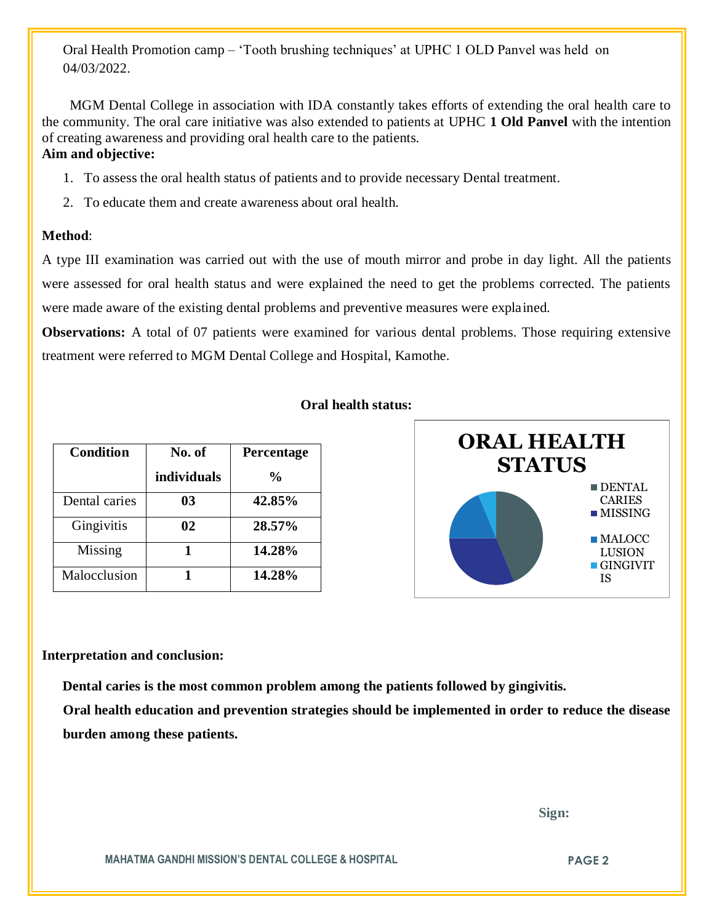Oral Health Promotion camp – 'Tooth brushing techniques' at UPHC 1 OLD Panvel was held on 04/03/2022.

 MGM Dental College in association with IDA constantly takes efforts of extending the oral health care to the community. The oral care initiative was also extended to patients at UPHC **1 Old Panvel** with the intention of creating awareness and providing oral health care to the patients. **Aim and objective:** 

- 1. To assess the oral health status of patients and to provide necessary Dental treatment.
- 2. To educate them and create awareness about oral health.

## **Method**:

A type III examination was carried out with the use of mouth mirror and probe in day light. All the patients were assessed for oral health status and were explained the need to get the problems corrected. The patients were made aware of the existing dental problems and preventive measures were explained.

**Observations:** A total of 07 patients were examined for various dental problems. Those requiring extensive treatment were referred to MGM Dental College and Hospital, Kamothe.

| <b>Condition</b> | No. of      | <b>Percentage</b> |
|------------------|-------------|-------------------|
|                  | individuals | $\%$              |
| Dental caries    | 03          | 42.85%            |
| Gingivitis       | 02          | 28.57%            |
| Missing          |             | 14.28%            |
| Malocclusion     |             | 14.28%            |

## **Oral health status:**



#### **Interpretation and conclusion:**

 **Dental caries is the most common problem among the patients followed by gingivitis.**

**Oral health education and prevention strategies should be implemented in order to reduce the disease burden among these patients.** 

 **Sign:**

**MAHATMA GANDHI MISSION'S DENTAL COLLEGE & HOSPITAL PAGE 2**